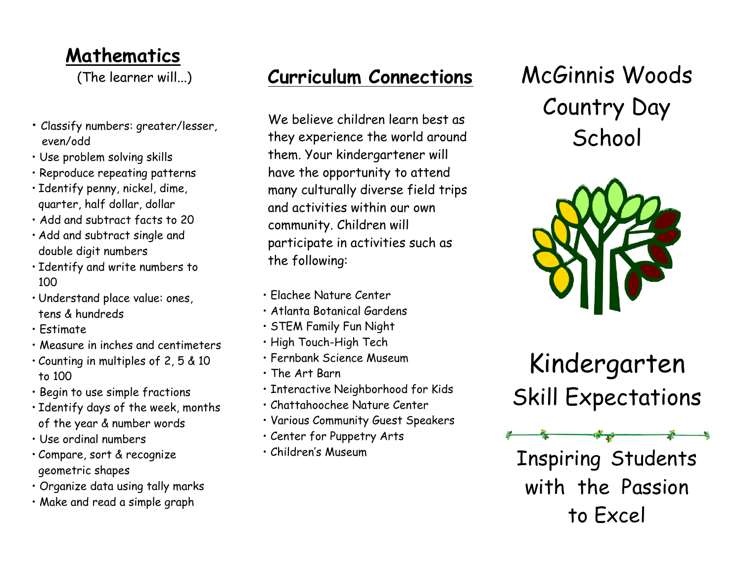#### **Mathematics**

(The learner will...)

- Classify numbers: greater/lesser, even/odd
- Use problem solving skills
- Reproduce repeating patterns
- Identify penny, nickel, dime, quarter, half dollar, dollar
- Add and subtract facts to 20
- Add and subtract single and double digit numbers
- Identify and write numbers to 100
- Understand place value: ones, tens & hundreds
- Estimate
- Measure in inches and centimeters
- Counting in multiples of 2, 5 & 10 to 100
- Begin to use simple fractions
- Identify days of the week, months of the year & number words
- Use ordinal numbers
- Compare, sort & recognize geometric shapes
- Organize data using tally marks
- Make and read a simple graph

### **Curriculum Connections**

We believe children learn best as they experience the world around them. Your kindergartener will have the opportunity to attend many culturally diverse field trips and activities within our own community. Children will participate in activities such as the following:

- Elachee Nature Center
- Atlanta Botanical Gardens
- STEM Family Fun Night
- High Touch-High Tech
- Fernbank Science Museum
- The Art Barn
- Interactive Neighborhood for Kids
- Chattahoochee Nature Center
- Various Community Guest Speakers
- Center for Puppetry Arts
- Children's Museum

# McGinnis Woods Country Day **School**



Kindergarten Skill Expectations

Inspiring Students with the Passion to Excel